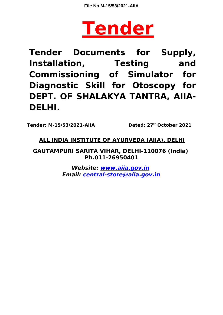

**Tender Documents for Supply, Installation, Testing and Commissioning of Simulator for Diagnostic Skill for Otoscopy for DEPT. OF SHALAKYA TANTRA, AIIA-DELHI.**

**Tender: M-15/53/2021-AIIA Dated: 27th October 2021**

# **ALL INDIA INSTITUTE OF AYURVEDA (AIIA), DELHI**

**GAUTAMPURI SARITA VIHAR, DELHI-110076 (India) Ph.011-26950401**

> **Website: www.aiia.gov.in Email: central-store@aiia.gov.in**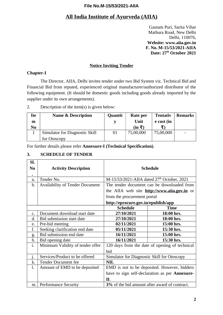# **All India Institute of Ayurveda (AIIA)**

Gautam Puri, Sarita Vihar Mathura Road, New Delhi Delhi, 110076, **Website: www.aiia.gov.in F. No. M-15/53/2021-AIIA Date: 27th October 2021**

#### **Notice Inviting Tender**

#### **Chapter-I**

The Director, AIIA, Delhi invites tender under two Bid System viz. Technical Bid and Financial Bid from reputed, experienced original manufacturer/authorized distributor of the following equipment. (It should be domestic goods including goods already imported by the supplier under its own arrangements).

#### 2. Description of the item(s) is given below:

| <b>Ite</b><br>m<br>N <sub>0</sub> | <b>Name &amp; Description</b>  | <b>Quantit</b> | Rate per<br>Unit<br>(in ₹) | <b>Tentativ</b><br>e cost (in | Remarks |
|-----------------------------------|--------------------------------|----------------|----------------------------|-------------------------------|---------|
|                                   | Simulator for Diagnostic Skill | 01             | 75,00,000                  | 75,00,000                     |         |
|                                   | for Otoscopy                   |                |                            |                               |         |

For further details please refer **Annexure-I (Technical Specification)**.

#### **3. SCHEDULE OF TENDER**

| SI.            |                                        |                                                |                                                       |  |  |  |
|----------------|----------------------------------------|------------------------------------------------|-------------------------------------------------------|--|--|--|
| N <sub>0</sub> | <b>Activity Description</b>            |                                                | <b>Schedule</b>                                       |  |  |  |
| $\bullet$      |                                        |                                                |                                                       |  |  |  |
| a.             | Tender No.                             | $M-15/53/2021-AlIA$ dated $27th$ October, 2021 |                                                       |  |  |  |
| b.             | <b>Availability of Tender Document</b> |                                                | The tender document can be downloaded from            |  |  |  |
|                |                                        |                                                | the AIIA web site <b>http://www.aiia.gov.in</b> or    |  |  |  |
|                |                                        | from the procurement portal                    |                                                       |  |  |  |
|                |                                        | http://eprocure.gov.in/epublish/app            |                                                       |  |  |  |
|                |                                        | <b>Schedule</b>                                | <b>Time</b>                                           |  |  |  |
| $C_{\bullet}$  | Document download start date           | 27/10/2021                                     | 18:00 hrs.                                            |  |  |  |
| d.             | Bid submission start date              | 27/10/2021                                     | 18:00 hrs.                                            |  |  |  |
| e.             | Pre-bid meeting                        | 02/11/2021                                     | 15:00 hrs.                                            |  |  |  |
| f.             | Seeking clarification end date         | 05/11/2021                                     | 15:30 hrs.                                            |  |  |  |
| g.             | Bid submission end date                | 16/11/2021                                     | 15:00 hrs.                                            |  |  |  |
| h.             | Bid opening date                       | 16/11/2021                                     | 15:30 hrs.                                            |  |  |  |
| i.             | Minimum Validity of tender offer       |                                                | 120 days from the date of opening of technical        |  |  |  |
|                |                                        | bid                                            |                                                       |  |  |  |
| j.             | Services/Product to be offered         | Simulator for Diagnostic Skill for Otoscopy    |                                                       |  |  |  |
| k.             | <b>Tender Document fee</b>             | <b>NIL</b>                                     |                                                       |  |  |  |
| $\mathbf{l}$ . | Amount of EMD to be deposited          | EMD is not to be deposited. However, bidders   |                                                       |  |  |  |
|                |                                        |                                                | have to sign self-declaration as per <b>Annexure-</b> |  |  |  |
|                |                                        | II.                                            |                                                       |  |  |  |
| m.             | <b>Performance Security</b>            | 3% of the bid amount after award of contract.  |                                                       |  |  |  |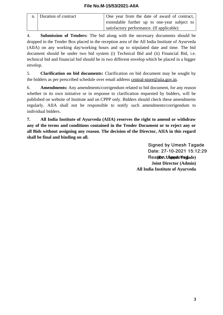| n.   Duration of contract | One year from the date of award of contract, |
|---------------------------|----------------------------------------------|
|                           | extendable further up to one-year subject to |
|                           | satisfactory performance. (If applicable)    |

4. **Submission of Tenders:** The bid along with the necessary documents should be dropped in the Tender Box placed in the reception area of the All India Institute of Ayurveda (AIIA) on any working day/working hours and up to stipulated date and time. The bid document should be under two bid system (i) Technical Bid and (ii) Financial Bid, i.e. technical bid and financial bid should be in two different envelop which be placed in a bigger envelop.

5. **Clarification on bid documents:** Clarification on bid document may be sought by the bidders as per prescribed schedule over email address [central-store@aiia.gov.in.](mailto:central-store@aiia.gov.in)

6. **Amendments:** Any amendments/corrigendum related to bid document, for any reason whether in its own initiative or in response to clarification requested by bidders, will be published on website of Institute and on CPPP only. Bidders should check these amendments regularly. AIIA shall not be responsible to notify such amendments/corrigendum to individual bidders.

**7. All India Institute of Ayurveda (AIIA) reserves the right to amend or withdraw any of the terms and conditions contained in the Tender Document or to reject any or all Bids without assigning any reason. The decision of the Director, AIIA in this regard shall be final and binding on all.**

> **Signed by Umesh Tagade** Date: 27-10-2021 15:12:29 **(Dr. Umesh Tagade) Joint Director (Admin) All India Institute of Ayurveda**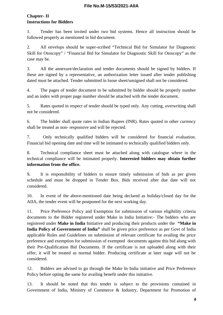# **Chapter- II Instructions for Bidders**

1. Tender has been invited under two bid systems. Hence all instruction should be followed properly as mentioned in bid document.

2. All envelops should be super-scribed "Technical Bid for Simulator for Diagnostic Skill for Otoscopy" / "Financial Bid for Simulator for Diagnostic Skill for Otoscopy" as the case may be.

3. All the annexure/declaration and tender documents should be signed by bidders. If these are signed by a representative, an authorization letter issued after tender publishing dated must be attached. Tender submitted in loose sheet/unsigned shall not be considered.

4. The pages of tender document to be submitted by bidder should be properly number and an index with proper page number should be attached with the tender document.

5. Rates quoted in respect of tender should be typed only. Any cutting, overwriting shall not be considered.

6. The bidder shall quote rates in Indian Rupees (INR). Rates quoted in other currency shall be treated as non- responsive and will be rejected.

7. Only technically qualified bidders will be considered for financial evaluation. Financial bid opening date and time will be intimated to technically qualified bidders only.

8. Technical compliance sheet must be attached along with catalogue where in the technical compliance will be intimated properly. **Interested bidders may obtain further information from the office.**

9**.** It is responsibility of bidders to ensure timely submission of bids as per given schedule and must be dropped in Tender Box. Bids received after due date will not considered.

10. In event of the above-mentioned date being declared as holiday/closed day for the AIIA, the tender event will be postponed for the next working day.

11. Price Preference Policy and Exemption for submission of various eligibility criteria documents to the Bidder registered under Make in India Initiative:- The bidders who are registered under **Make in India** Initiative and producing their products under the **"Make in India Policy of Government of India"** shall be given price preference as per Govt of India applicable Rules and Guidelines on submission of relevant certificate for availing the price preference and exemption for submission of exempted documents against this bid along with their Pre-Qualification Bid Documents. If the certificate is not uploaded along with their offer, it will be treated as normal bidder. Producing certificate at later stage will not be considered.

12. Bidders are advised to go through the Make In India initiative and Price Preference Policy before opting the same for availing benefit under this initiative.

13. It should be noted that this tender is subject to the provisions contained in Government of India, Ministry of Commerce & Industry, Department for Promotion of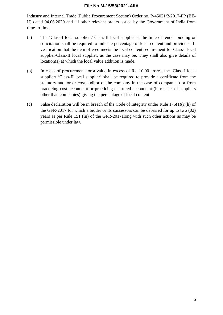Industry and Internal Trade (Public Procurement Section) Order no. P-45021/2/2017-PP (BE-II) dated 04.06.2020 and all other relevant orders issued by the Government of India from time-to-time.

- (a) The 'Class-I local supplier / Class-II local supplier at the time of tender bidding or solicitation shall be required to indicate percentage of local content and provide selfverification that the item offered meets the local content requirement for Class-I local supplier/Class-II local supplier, as the case may be. They shall also give details of location(s) at which the local value addition is made.
- (b) In cases of procurement for a value in excess of Rs. 10.00 crores, the 'Class-I local supplier/ 'Class-II local supplier' shall be required to provide a certificate from the statutory auditor or cost auditor of the company in the case of companies) or from practicing cost accountant or practicing chartered accountant (in respect of suppliers other than companies) giving the percentage of local content
- (c) False declaration will be in breach of the Code of Integrity under Rule 175(1)(i)(h) of the GFR-2017 for which a bidder or its successors can be debarred for up to two (02) years as per Rule 151 (iii) of the GFR-2017along with such other actions as may be permissible under law**.**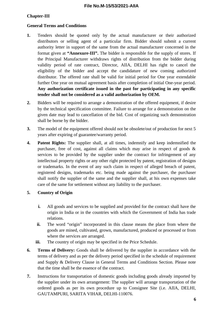## **Chapter-III**

#### **General Terms and Conditions**

- **1.** Tenders should be quoted only by the actual manufacturer or their authorized distributors or selling agent of a particular firm. Bidder should submit a current authority letter in support of the same from the actual manufacturer concerned in the format given at **"Annexure-III".** The bidder is responsible for the supply of stores. If the Principal Manufacturer withdraws rights of distribution from the bidder during validity period of rate contract, Director, AIIA, DELHI has right to cancel the eligibility of the bidder and accept the candidature of new coming authorized distributor. The offered rate shall be valid for initial period for One year extendable further One year on mutual agreement basis after completion of initial One-year period. **Any authorization certificate issued in the past for participating in any specific tender shall not be considered as a valid authorization by OEM.**
- **2.** Bidders will be required to arrange a demonstration of the offered equipment, if desire by the technical specification committee. Failure to arrange for a demonstration on the given date may lead to cancellation of the bid. Cost of organizing such demonstration shall be borne by the bidder.
- **3.** The model of the equipment offered should not be obsolete/out of production for next 5 years after expiring of guarantee/warranty period.
- **4. Patent Rights:** The supplier shall, at all times, indemnify and keep indemnified the purchaser, free of cost, against all claims which may arise in respect of goods & services to be provided by the supplier under the contract for infringement of any intellectual property rights or any other right protected by patent, registration of designs or trademarks. In the event of any such claim in respect of alleged breach of patent, registered designs, trademarks etc. being made against the purchaser, the purchaser shall notify the supplier of the same and the supplier shall, at his own expenses take care of the same for settlement without any liability to the purchaser.

#### **5. Country of Origin**

- **i.** All goods and services to be supplied and provided for the contract shall have the origin in India or in the countries with which the Government of India has trade relations.
- **ii.** The word "origin" incorporated in this clause means the place from where the goods are mined, cultivated, grown, manufactured, produced or processed or from where the services are arranged.
- **iii.** The country of origin may be specified in the Price Schedule.
- **6. Terms of Delivery:** Goods shall be delivered by the supplier in accordance with the terms of delivery and as per the delivery period specified in the schedule of requirement and Supply & Delivery Clause in General Terms and Conditions Section. Please note that the time shall be the essence of the contract.
- **7.** Instructions for transportation of domestic goods including goods already imported by the supplier under its own arrangement: The supplier will arrange transportation of the ordered goods as per its own procedure up to Consignee Site (i.e. AIIA, DELHI, GAUTAMPURI, SARITA VIHAR, DELHI-110076.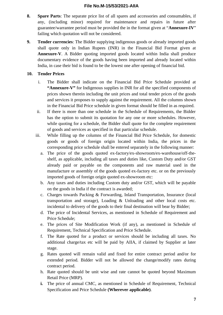- **8. Spare Parts**: The separate price list of all spares and accessories and consumables, if any, (including minor) required for maintenance and repairs in future after guarantee/warrantee period must be provided the in the format given at "**Annexure-IV**" failing which quotation will not be considered.
- **9. Tender currencies**: The Bidder supplying indigenous goods or already imported goods shall quote only in Indian Rupees (INR) in the Financial Bid Format given at **Annexure-V**. A Bidder quoting imported goods located within India shall produce documentary evidence of the goods having been imported and already located within India, in case their bid is found to be the lowest one after opening of financial bid.

## **10. Tender Prices**

- i. The Bidder shall indicate on the Financial Bid Price Schedule provided at **"Annexure-V"** for Indigenous supplies in INR for all the specified components of prices shown therein including the unit prices and total tender prices of the goods and services it proposes to supply against the requirement. All the columns shown in the Financial Bid Price schedule in given format should be filled in as required.
- ii. If there is more than one schedule in the Schedule of Requirements, the Bidder has the option to submit its quotation for any one or more schedules. However, while quoting for a schedule, the Bidder shall quote for the complete requirement of goods and services as specified in that particular schedule.
- iii. While filling up the columns of the Financial Bid Price Schedule, for domestic goods or goods of foreign origin located within India, the prices in the corresponding price schedule shall be entered separately in the following manner:
	- a. The price of the goods quoted ex-factory/ex-showroom/ex-warehouse/off-theshelf, as applicable, including all taxes and duties like, Custom Duty and/or GST already paid or payable on the components and raw material used in the manufacture or assembly of the goods quoted ex-factory etc. or on the previously imported goods of foreign origin quoted ex-showroom etc:
	- b. Any taxes and duties including Custom duty and/or GST, which will be payable on the goods in India if the contract is awarded;
	- c. Charges towards Packing & Forwarding, Inland Transportation, Insurance (local transportation and storage), Loading & Unloading and other local costs etc. incidental to delivery of the goods to their final destination will bear by Bidder;
	- d. The price of Incidental Services, as mentioned in Schedule of Requirement and Price Schedule;
	- e. The prices of Site Modification Work (if any), as mentioned in Schedule of Requirement, Technical Specification and Price Schedule.
	- f. The Rate quoted for a product or services should be including all taxes. No additional charge/tax etc will be paid by AIIA, if claimed by Supplier at later stage.
	- g. Rates quoted will remain valid and fixed for entire contract period and/or for extended period. Bidder will not be allowed the change/modify rates during contract period.
	- h. Rate quoted should be unit wise and rate cannot be quoted beyond Maximum Retail Price (MRP).
	- **i.** The price of annual CMC, as mentioned in Schedule of Requirement, Technical Specification and Price Schedule **(Wherever applicable)**.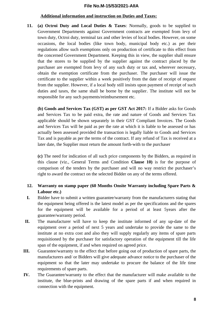#### **Additional information and instruction on Duties and Taxes:**

**11. (a) Octroi Duty and Local Duties & Taxes**: Normally, goods to be supplied to Government Departments against Government contracts are exempted from levy of town duty, Octroi duty, terminal tax and other levies of local bodies. However, on some occasions, the local bodies (like town body, municipal body etc.) as per their regulations allow such exemptions only on production of certificate to this effect from the concerned Government Department. Keeping this in view, the supplier shall ensure that the stores to be supplied by the supplier against the contract placed by the purchaser are exempted from levy of any such duty or tax and, wherever necessary, obtain the exemption certificate from the purchaser. The purchaser will issue the certificate to the supplier within a week positively from the date of receipt of request from the supplier. However, if a local body still insists upon payment of receipt of such duties and taxes, the same shall be borne by the supplier. The institute will not be responsible for any such payments/reimbursement etc.

**(b) Goods and Services Tax (GST) as per GST Act 2017:** If a Bidder asks for Goods and Services Tax to be paid extra, the rate and nature of Goods and Services Tax applicable should be shown separately in their GST Compliant Invoices. The Goods and Services Tax will be paid as per the rate at which it is liable to be assessed or has actually been assessed provided the transaction is legally liable to Goods and Services Tax and is payable as per the terms of the contract. If any refund of Tax is received at a later date, the Supplier must return the amount forth-with to the purchaser

**(c)** The need for indication of all such price components by the Bidders, as required in this clause (viz., General Terms and Condition **Clause 10)** is for the purpose of comparison of the tenders by the purchaser and will no way restrict the purchaser's right to award the contract on the selected Bidder on any of the terms offered.

# **12. Warranty on stamp paper (60 Months Onsite Warranty including Spare Parts & Labour etc.)**

- **I.** Bidder have to submit a written guarantee/warranty from the manufacturers stating that the equipment being offered is the latest model as per the specifications and the spares for the equipment will be available for a period of at least 5years after the guarantee/warranty period.
- **II.** The manufacturer will have to keep the institute informed of any up-date of the equipment over a period of next 5 years and undertake to provide the same to the institute at no extra cost and also they will supply regularly any items of spare parts requisitioned by the purchaser for satisfactory operation of the equipment till the life span of the equipment, if and when required on agreed price.
- **III.** Guarantee/warranty to the effect that before going out of production of spare parts, the manufacturers and/ or Bidders will give adequate advance notice to the purchaser of the equipment so that the later may undertake to procure the balance of the life time requirements of spare parts.
- **IV.** The Guarantee/warranty to the effect that the manufacturer will make available to the institute, the blue-prints and drawing of the spare parts if and when required in connection with the equipment.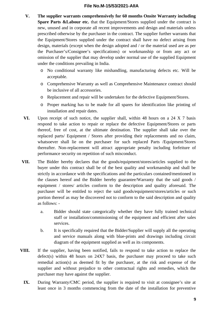- **V. The supplier warrants comprehensively for 60 months Onsite Warranty including Spare Parts &Labour etc.** that the Equipment/Stores supplied under the contract is new, unused and in corporate all recent improvements and design and materials unless prescribed otherwise by the purchaser in the contract. The supplier further warrants that the Equipment/Stores supplied under the contract shall have no defect arising from design, materials (except when the design adopted and / or the material used are as per the Purchaser's/Consignee's specifications) or workmanship or from any act or omission of the supplier that may develop under normal use of the supplied Equipment under the conditions prevailing in India.
	- o No conditional warranty like mishandling, manufacturing defects etc. Will be acceptable.
	- o Comprehensive Warranty as well as Comprehensive Maintenance contract should be inclusive of all accessories.
	- o Replacement and repair will be undertaken for the defective Equipment/Stores.
	- o Proper marking has to be made for all spares for identification like printing of installation and repair dates.
- **VI.** Upon receipt of such notice, the supplier shall, within 48 hours on a 24 X 7 basis respond to take action to repair or replace the defective Equipment/Stores or parts thereof, free of cost, at the ultimate destination. The supplier shall take over the replaced parts/ Equipment / Stores after providing their replacements and no claim, whatsoever shall lie on the purchaser for such replaced Parts /Equipment/Stores thereafter. Non-replacement will attract appropriate penalty including forfeiture of performance security on repetition of such misconduct.
- **VII.** The Bidder hereby declares that the goods/equipment/stores/articles supplied to the buyer under this contract shall be of the best quality and workmanship and shall be strictly in accordance with the specifications and the particulars contained/mentioned in the clauses hereof and the Bidder hereby guarantee/Warranty that the said goods / equipment / stores/ articles conform to the description and quality aforesaid. The purchaser will be entitled to reject the said goods/equipment/stores/articles or such portion thereof as may be discovered not to conform to the said description and quality as follows:
	- a. Bidder should state categorically whether they have fully trained technical staff or installation/commissioning of the equipment and efficient after sales services.
	- b. It is specifically required that the Bidder/Supplier will supply all the operating and service manuals along with blue-prints and drawings including circuit diagram of the equipment supplied as well as its components.
- **VIII.** If the supplier, having been notified, fails to respond to take action to replace the defect(s) within 48 hours on 24X7 basis, the purchaser may proceed to take such remedial action(s) as deemed fit by the purchaser, at the risk and expense of the supplier and without prejudice to other contractual rights and remedies, which the purchaser may have against the supplier.
	- **IX.** During Warranty/CMC period, the supplier is required to visit at consignee's site at least once in 3 months commencing from the date of the installation for preventive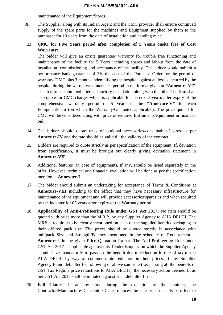maintenance of the Equipment/Stores.

- **X.** The Supplier along with its Indian Agent and the CMC provider shall ensure continued supply of the spare parts for the machines and Equipment supplied by them to the purchaser for 10 years from the date of installation and handing over.
- **13. CMC for Five Years period after completion of 5 Years onsite free of Cost Warranty:**

The bidder will give an onsite guarantee/ warranty for trouble free functioning and maintenance of the facility for 5 Years including spares and labour from the date of installation, commissioning and acceptance of the facility. The bidder would submit a performance bank guarantee of 3% the cost of the Purchase Order for the period of warranty /CMC plus 3 months indemnifying the hospital against all losses incurred by the hospital during the warranty/maintenance period in the format given at **"Annexure-VI**". This has to be submitted after satisfactory installation along with the bills. The firm shall also quote for CMC charges which is applicable for the next **5 years** after expiry of the comprehensive warranty period of 5 years in the **"Annexure-V"** for each Equipment/item (on which the Warranty/Guarantee applicable). The price quoted for CMC will be considered along with price of required Instruments/equipment in financial bid.

- **14.** The bidder should quote rates of optional accessories/consumables/spares as per **Annexure-IV** and the rate should be valid till the validity of the contract.
- **15.** Bidders are required to quote strictly as per specification of the equipment. If, deviation from specification, it must be brought out clearly giving deviation statement in **Annexure-VII**.
- **16.** Additional features (in case of equipment), if any, should be listed separately in the offer. However, technical and financial evaluation will be done as per the specification mention at **Annexure-I**.
- **17.** The bidder should submit an undertaking for acceptance of Terms & Conditions at **Annexure-VIII** including to the effect that they have necessary infrastructure for maintenance of the equipment and will provide accessories/spares as and when required by the indenter for 05 years after expiry of the Warranty period.
- **18. Applicability of Anti-Profiteering Rule under GST Act 2017:** No item should be quoted with price more than the M.R.P. by any Supplier Agency to AIIA DELHI. The MRP is required to be clearly mentioned on each of the supplied item/its packaging in their offered pack size. The prices should be quoted strictly in accordance with unit/pack Size and Strength/Potency mentioned in the schedule of Requirement at **Annexure-I** in the given Price Quotation format. The Anti-Profiteering Rule under GST Act 2017 is applicable against this Tender Enquiry on which the Supplier Agency should have mandatorily to pass on the benefit due to reduction in rate of tax to the AIIA DELHI by way of commensurate reduction in their prices. If any Supplier Agency found defaulter for following of above said rule (i.e. passing all the benefits of GST Tax Regime price reductions to AIIA DELHI), the necessary action deemed fit as per GST Act 2017 shall be initiated against such defaulter firm.
- **19. Fall Clause:** If at any time during the execution of the contract, the Contractor/Manufacture/Distributor/Dealer reduces the sale price or sells or offers to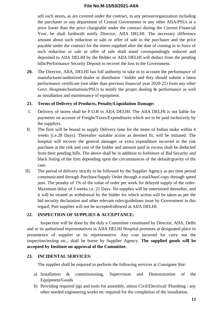sell such stores, as are covered under the contract, to any person/organization including the purchaser or any department of Central Government or any other AIIA/PSUs at a price lower than the price chargeable under the contract during the Current Financial Year, he shall forthwith notify Director, AIIA DELHI. The necessary difference amount about such reduction or sale or offer of sale to the purchaser and the price payable under the contract for the stores supplied after the date of coming in to force of such reduction or sale or offer of sale shall stand correspondingly reduced and deposited to AIIA DELHI by the Bidder or AIIA DELHI will deduct from the pending bills/Performance Security Deposit to recover the loss to the Government.

**20.** The Director, AIIA, DELHI has full authority to take in to account the performance of manufacturer/authorized dealer or distributor / bidder and they should submit a latest performance certificate (not older than previous financial year 2020-21) from any other Govt. Hospitals/Institutions/PSUs to testify the proper dealing & performance as well as installation and maintenance of equipment.

## **21. Terms of Delivery of Products, Penalty/Liquidation Damage:**

- I. Delivery of stores shall be F.O.R to AIIA DELHI. The AIIA DELHI is not liable for payments on account of Freight/Taxes/Expenditures which are to be paid inclusively by the suppliers.
- II. The firm will be bound to supply Delivery time for the items of Indian make within 4 weeks (i.e.28 Days). Thereafter suitable action as deemed fit, will be initiated. The hospital will recover the general damages or extra expenditure incurred in the risk purchase at the risk and cost of the bidder and amount paid in excess shall be deducted from their pending bills. The above shall be in addition to forfeiture of Bid Security and black listing of the firm depending upon the circumstances of the default/gravity of the case.
- III. The period of delivery strictly to be followed by the Supplier Agency as per time period communicated through Purchase/Supply Order through e-mail/hard copy through speed post. The penalty of 1% of the value of order per week for delayed supply of the order. Maximum delay of 3 weeks i.e. 21 Days. No supplies will be entertained thereafter, and it will be treated as withdrawal by the bidder for which action will be taken as per the bid security declaration and other relevant rules/guidelines issue by Government in this regard. Part supplies will not be accepted/allowed at AIIA DELHI.

#### **22. INSPECTION OF SUPPLIES & ACCEPTANCE:**

Inspection will be done by the duly a Committee constituted by Director, AIIA, Delhi and or its authorized representatives in AIIA DELHI Hospital premises at designated place in presentence of supplier or its representative. Any cost incurred for carry out the inspection/testing etc., shall be borne by Supplier Agency. **The supplied goods will be accepted by Institute on approval of the Committee.**

# **23. INCIDENTAL SERVICES:**

The supplier shall be required to perform the following services at Consignee Site:

- a) Installation & commissioning, Supervision and Demonstration of the Equipment/Goods
- b) Providing required jigs and tools for assembly, minor Civil/Electrical/ Plumbing / any other needed engineering works etc required for the completion of the installation.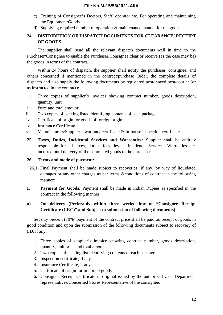- c) Training of Consignee's Doctors, Staff, operator etc. For operating and maintaining the Equipment/Goods
- d) Supplying required number of operation & maintenance manual for the goods

# **24. DISTRIBUTION OF DISPATCH DOCUMENTS FOR CLEARANCE/ RECEIPT OF GOODS**

The supplier shall send all the relevant dispatch documents well in time to the Purchaser/Consignee to enable the Purchaser/Consignee clear or receive (as the case may be) the goods in terms of the contract.

Within 24 hours of dispatch, the supplier shall notify the purchaser, consignee, and others concerned if mentioned in the contract/purchase Order, the complete details of dispatch and also supply the following documents by registered post/ speed post/courier (or as instructed in the contract):

- i. Three copies of supplier's invoices showing contract number, goods description, quantity, unit
- ii. Price and total amount;
- iii. Two copies of packing listed identifying contents of each package;
- iv. Certificate of origin for goods of foreign origin;
- v. Insurance Certificate.
- vi. Manufacturers/Supplier's warranty certificate & In-house inspection certificate.
- **25. Taxes, Duties, Incidental Services and Warranties:** Supplier shall be entirely responsible for all taxes, duties, fees, levies, incidental Services, Warranties etc. incurred until delivery of the contracted goods to the purchaser.

#### **26. Terms and mode of payment:**

- 26.1. Final Payment shall be made subject to recoveries, if any, by way of liquidated damages or any other charges as per terms &conditions of contract in the following manner:
- **I. Payment for Goods:** Payment shall be made in Indian Rupees as specified in the contract in the following manner:

# **a) On delivery (Preferably within three weeks time of "Consignee Receipt Certificate (CRC)" and Subject to submission of following documents)**

Seventy percent (70%) payment of the contract price shall be paid on receipt of goods in good condition and upon the submission of the following documents subject to recovery of LD, if any:

- 1. Three copies of supplier's invoice showing contract number, goods description, quantity, unit price and total amount
- 2. Two copies of packing list identifying contents of each package
- 3. Inspection certificate, if any
- 4. Insurance Certificate, if any
- 5. Certificate of origin for imported goods
- 6. Consignee Receipt Certificate in original issued by the authorized User Department representatives/Concerned Stores Representative of the consignee.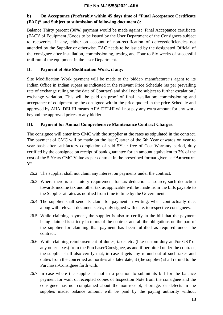# **b) On Acceptance (Preferably within 45 days time of "Final Acceptance Certificate (FAC)" and Subject to submission of following documents):**

Balance Thirty percent (30%) payment would be made against 'Final Acceptance certificate (FAC)' of Equipment /Goods to be issued by the User Department of the Consignees subject to recoveries, if any, either on account of non-rectification of defects/deficiencies not attended by the Supplier or otherwise. FAC needs to be issued by the designated Official of the consignee after installation, commissioning, testing and Four to Six weeks of successful trail run of the equipment in the User Department.

# **II. Payment of Site Modification Work, if any:**

Site Modification Work payment will be made to the bidder/ manufacturer's agent to its Indian Office in Indian rupees as indicated in the relevant Price Schedule (as per prevailing rate of exchange ruling on the date of Contract) and shall not be subject to further escalation / exchange variation. This will be paid on proof of final installation; commissioning and acceptance of equipment by the consignee within the price quoted in the price Schedule and approved by AIIA, DELHI means AIIA DELHI will not pay any extra amount for any work beyond the approved prices to any bidder.

# **III. Payment for Annual Comprehensive Maintenance Contract Charges:**

The consignee will enter into CMC with the supplier at the rates as stipulated in the contract. The payment of CMC will be made on the last Quarter of the 6th Year onwards on year to year basis after satisfactory completion of said 5Year free of Cost Warranty period, duly certified by the consignee on receipt of bank guarantee for an amount equivalent to 3% of the cost of the 5 Years CMC Value as per contract in the prescribed format given at **"Annexure-V"**

- 26.2. The supplier shall not claim any interest on payments under the contract.
- 26.3. Where there is a statutory requirement for tax deduction at source, such deduction towards income tax and other tax as applicable will be made from the bills payable to the Supplier at rates as notified from time to time by the Government.
- 26.4. The supplier shall send its claim for payment in writing, when contractually due, along with relevant documents etc., duly signed with date, to respective consignees.
- 26.5. While claiming payment, the supplier is also to certify in the bill that the payment being claimed is strictly in terms of the contract and all the obligations on the part of the supplier for claiming that payment has been fulfilled as required under the contract.
- 26.6. While claiming reimbursement of duties, taxes etc. (like custom duty and/or GST or any other taxes) from the Purchaser/Consignee, as and if permitted under the contract, the supplier shall also certify that, in case it gets any refund out of such taxes and duties from the concerned authorities at a later date, it (the supplier) shall refund to the Purchaser/Consignee forth with.
- 26.7. In case where the supplier is not in a position to submit its bill for the balance payment for want of receipted copies of Inspection Note from the consignee and the consignee has not complained about the non-receipt, shortage, or defects in the supplies made, balance amount will be paid by the paying authority without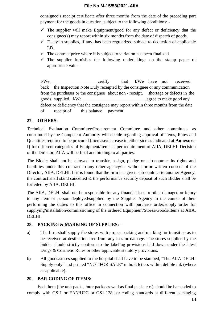consignee's receipt certificate after three months from the date of the preceding part payment for the goods in question, subject to the following conditions: -

- $\checkmark$  The supplier will make Equipment/good for any defect or deficiency that the consignee(s) may report within six months from the date of dispatch of goods.
- $\checkmark$  Delay in supplies, if any, has been regularized subject to deduction of applicable LD.
- $\checkmark$  The contract price where it is subject to variation has been finalized.
- $\checkmark$  The supplier furnishes the following undertakings on the stamp paper of appropriate value.

I/We, that I/We have not received back the Inspection Note Duly receipted by the consignee or any communication from the purchaser or the consignee about non - receipt, shortage or defects in the goods supplied. I/We agree to make good any defect or deficiency that the consignee may report within three months from the date of receipt of this balance payment.

# **27. OTHERS:**

Technical Evaluation Committee/Procurement Committee and other committees as constituted by the Competent Authority will decide regarding approval of Items, Rates and Quantities required to be procured (increase/decrease in either side as indicated at **Annexure-I)** for different categories of Equipment/items as per requirement of AIIA, DELHI. Decision of the Director, AIIA will be final and binding to all parties.

The Bidder shall not be allowed to transfer, assign, pledge or sub-contract its rights and liabilities under this contract to any other agency/ies without prior written consent of the Director, AIIA, DELHI. If it is found that the firm has given sub-contract to another Agency, the contract shall stand cancelled & the performance security deposit of such Bidder shall be forfeited by AIIA, DELHI.

The AIIA, DELHI shall not be responsible for any financial loss or other damaged or injury to any item or person deployed/supplied by the Supplier Agency in the course of their performing the duties to this office in connection with purchase order/supply order for supplying/installation/commissioning of the ordered Equipment/Stores/Goods/Items at AIIA, DELHI.

# **28. PACKING & MARKING OF SUPPLIES: -**

- a) The firm shall supply the stores with proper packing and marking for transit so as to be received at destination free from any loss or damage. The stores supplied by the bidder should strictly conform to the labeling provisions laid down under the latest Drugs & Cosmetic Rules or other applicable statutory provisions.
- b) All goods/stores supplied to the hospital shall have to be stamped, "The AIIA DELHI Supply only" and printed "NOT FOR SALE" in bold letters within delible ink (where as applicable).

# **29. BAR-CODING OF ITEMS:**

Each item (the unit packs, inter packs as well as final packs etc.) should be bar-coded to comply with GS-1 or EAN/UPC or GS1-128 bar-coding standards at different packaging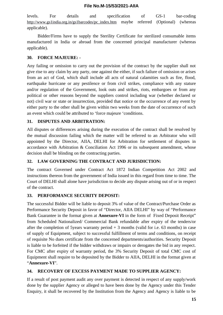levels. For details and specification of GS-1 bar-coding [http://www.gs1india.org.in/gs1barcodes/pc\\_index.htm](http://www.gs1india.org.in/gs1barcodes/pc_index.htm) maybe referred (Optional) (whereas applicable).

Bidder/Firms have to supply the Sterility Certificate for sterilized consumable items manufactured in India or abroad from the concerned principal manufacturer (whereas applicable).

#### **30. FORCE MAJEURE: -**

Any failing or omission to carry out the provision of the contract by the supplier shall not give rise to any claim by any party, one against the either, if such failure of omission or arises from an act of God, which shall include all acts of natural calamities such as fire, flood, earthquake hurricane or any pestilence or from civil strikes, compliance with any stature and/or regulation of the Government, look outs and strikes, riots, embargoes or from any political or other reasons beyond the suppliers control including war (whether declared or not) civil war or state or insurrection, provided that notice or the occurrence of any event by either party to the other shall be given within two weeks from the date of occurrence of such an event which could be attributed to 'force majeure 'conditions.

#### **31. DISPUTES AND ARBITRATION:**

All disputes or differences arising during the execution of the contract shall be resolved by the mutual discussion failing which the matter will be referred to an Arbitrator who will appointed by the Director, AIIA, DELHI for Arbitration for settlement of disputes in accordance with Arbitration & Conciliation Act 1996 or its subsequent amendment, whose decision shall be blinding on the contracting parties.

#### **32. LAW GOVERNING THE CONTRACT AND JURISDICTION:**

The contract Governed under Contract Act 1872 Indian Competition Act 2002 and instructions thereon from the government of India issued in this regard from time to time. The Court of DELHI shall alone have jurisdiction to decide any dispute arising out of or in respect of the contract.

#### **33. PERFORMANCE SECURITY DEPOSIT:**

The successful Bidder will be liable to deposit 3% of value of the Contract/Purchase Order as Performance Security Deposit in favor of "Director, AIIA DELHI" by way of "Performance Bank Guarantee in the format given at **Annexure-VI** in the form of Fixed Deposit Receipt" from Scheduled Nationalized/ Commercial Bank refundable after expiry of the tenders/or after the completion of 5years warranty period  $+3$  months (valid for i.e. 63 months) in case of supply of Equipment, subject to successful fulfillment of terms and conditions, on receipt of requisite No dues certificate from the concerned departments/authorities. Security Deposit is liable to be forfeited if the bidder withdraws or impairs or derogates the bid in any respect. For CMC after expiry of warranty period, the 3% Security Deposit of total CMC cost of Equipment shall require to be deposited by the Bidder to AIIA, DELHI in the format given at "**Annexure-VI**".

#### **34. RECOVERY OF EXCESS PAYMENT MADE TO SUPPLIER AGENCY:**

If a result of post payment audit any over payment is detected in respect of any supply/work done by the supplier Agency or alleged to have been done by the Agency under this Tender Enquiry, it shall be recovered by the Institution from the Agency and Agency is liable to be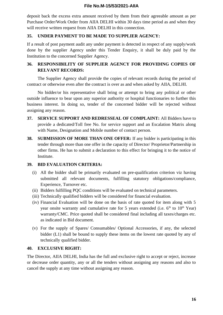deposit back the excess extra amount received by them from their agreeable amount as per Purchase Order/Work Order from AIIA DELHI within 30 days time period as and when they will receive written request from AIIA DELHI in this connection.

## **35. UNDER PAYMENT TO BE MADE TO SUPPLIER AGENCY:**

If a result of post payment audit any under payment is detected in respect of any supply/work done by the supplier Agency under this Tender Enquiry, it shall be duly paid by the Institution to the concerned Supplier Agency.

# **36. RESPONSIBILITY OF SUPPLIER AGENCY FOR PROVIDING COPIES OF RELVANT RECORDS:**

The Supplier Agency shall provide the copies of relevant records during the period of contract or otherwise even after the contract is over as and when asked by AIIA, DELHI.

No bidder/or his representative shall bring or attempt to bring any political or other outside influence to bear upon any superior authority or hospital functionaries to further this business interest. In doing so, tender of the concerned bidder will be rejected without assigning any reason.

- **37. SERVICE SUPPORT AND REDRESSEAL OF COMPLAINT:** All Bidders have to provide a dedicated/Toll free No. for service support and an Escalation Matrix along with Name, Designation and Mobile number of contact person.
- **38. SUBMISSION OF MORE THAN ONE OFFER:** If any bidder is participating in this tender through more than one offer in the capacity of Director/ Proprietor/Partnership in other firms. He has to submit a declaration to this effect for bringing it to the notice of Institute.

#### **39. BID EVALUATION CRITERIA:**

- (i) All the bidder shall be primarily evaluated on pre-qualification criterion viz having submitted all relevant documents, fulfilling statutory obligations/compliance, Experience, Turnover etc.
- (ii) Bidders fulfilling PQC conditions will be evaluated on technical parameters.
- (iii) Technically qualified bidders will be considered for financial evaluation.
- (iv) Financial Evaluation will be done on the basis of rate quoted for item along with 5 year onsite warranty and cumulative rate for 5 years extended (i.e.  $6<sup>th</sup>$  to  $10<sup>th</sup>$  Year) warranty/CMC. Price quoted shall be considered final including all taxes/charges etc. as indicated in Bid document.
- (v) For the supply of Spares/ Consumables/ Optional Accessories, if any, the selected bidder (L1) shall be bound to supply these items on the lowest rate quoted by any of technically qualified bidder.

#### **40. EXCLUSIVE RIGHT:**

The Director, AIIA DELHI, India has the full and exclusive right to accept or reject, increase or decrease order quantity, any or all the tenders without assigning any reasons and also to cancel the supply at any time without assigning any reason.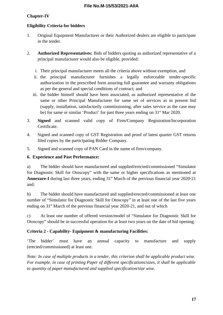# **Chapter-IV**

# **Eligibility Criteria for bidders**

- 1. Original Equipment Manufacturer or their Authorized dealers are eligible to participate in the tender.
- 2. **Authorized Representatives:** Bids of bidders quoting as authorized representative of a principal manufacturer would also be eligible, provided:
	- i. Their principal manufacturer meets all the criteria above without exemption, and
	- ii. the principal manufacturer furnishes a legally enforceable tender-specific authorization in the prescribed form assuring full guarantee and warranty obligations as per the general and special conditions of contract; and
	- iii. the bidder himself should have been associated, as authorized representative of the same or other Principal Manufacturer for same set of services as in present bid (supply, installation, satisfactorily commissioning, after sales service as the case may be) for same or similar 'Product' for past three years ending on  $31<sup>st</sup>$  Mar 2020.
- 3. **Signed** and scanned valid copy of Firm/Company Registration/Incorporation Certificate.
- 4. Signed and scanned copy of GST Registration and proof of latest quarter GST returns filed copies by the participating Bidder Company.
- 5. Signed and scanned copy of PAN Card in the name of firm/company.

# **6. Experience and Past Performance:**

a) The bidder should have manufactured and supplied/erected/commissioned "Simulator for Diagnostic Skill for Otoscopy" with the same or higher specifications as mentioned at Annexure-I during last three years, ending 31<sup>st</sup> March of the previous financial year 2020-21 and;

b) The bidder should have manufactured and supplied/erected/commissioned at least one number of "Simulator for Diagnostic Skill for Otoscopy" in at least one of the last five years ending on 31<sup>st</sup> March of the previous financial year 2020-21, and out of which

c) At least one number of offered version/model of "Simulator for Diagnostic Skill for Otoscopy" should be in successful operation for at least two years on the date of bid opening.

# **Criteria 2 - Capability- Equipment & manufacturing Facilities:**

'The bidder' must have an annual capacity to manufacture and supply (erected/commissioned) at least one.

*Note: In case of multiple products in a tender, this criterion shall be applicable product wise. For example, in case of printing Paper of different specifications/sizes, it shall be applicable to quantity of paper manufactured and supplied specification/size wise*.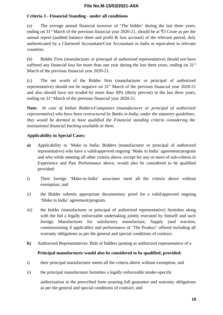### **Criteria 3 - Financial Standing - under all conditions**

(a) The average annual financial turnover of 'The bidder' during the last three years, ending on 31<sup>st</sup> March of the previous financial year 2020-21, should be at  $\overline{3}3$  Crore as per the annual report (audited balance sheet and profit & loss account) of the relevant period, duly authenticated by a Chartered Accountant/Cost Accountant in India or equivalent in relevant countries.

(b) Bidder Firm (manufacturer or principal of authorized representative) should not have suffered any financial loss for more than one year during the last three years, ending on  $31<sup>st</sup>$ March of the previous financial year 2020-21.

(c) The net worth of the Bidder firm (manufacturer or principal of authorized representative) should not be negative on  $31<sup>st</sup>$  March of the previous financial year 2020-21 and also should have not eroded by more than 30% (thirty percent) in the last three years, ending on 31<sup>st</sup> March of the previous financial year 2020-21.

**Note:** *In case of Indian Bidders/Companies (manufacturer or principal of authorized representative) who have been restructured by Banks in India, under the statutory guidelines, they would be deemed to have qualified the Financial standing criteria considering the institutional financial backing available to them*.

## **Applicability in Special Cases:**

- **a)** Applicability to 'Make in India: Bidders (manufacturer or principal of authorized representative) who have a valid/approved ongoing 'Make in India' agreement/program and who while meeting all other criteria above, except for any or more of sub-criteria in Experience and Past Performance above, would also be considered to be qualified provided:
- i) Their foreign 'Make-in-India' associates meet all the criteria above without exemption, and
- ii) the Bidder submits appropriate documentary proof for a valid/approved ongoing 'Make in India' agreement/program.
- iii) the bidder (manufacturer or principal of authorized representative) furnishes along with the bid a legally enforceable undertaking jointly executed by himself and such foreign Manufacturer for satisfactory manufacture, Supply (and erection, commissioning if applicable) and performance of 'The Product' offered including all warranty obligations as per the general and special conditions of contract.
- **b)** Authorized Representatives: Bids of bidders quoting as authorized representative of a

# **Principal manufacturer would also be considered to be qualified, provided:**

- i) their principal manufacturer meets all the criteria above without exemption, and
- ii) the principal manufacturer furnishes a legally enforceable tender-specific

authorization in the prescribed form assuring full guarantee and warranty obligations as per the general and special conditions of contract; and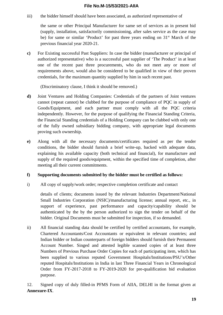iii) the bidder himself should have been associated, as authorized representative of

the same or other Principal Manufacturer for same set of services as in present bid (supply, installation, satisfactorily commissioning, after sales service as the case may be) for same or similar 'Product' for past three years ending on  $31<sup>st</sup>$  March of the previous financial year 2020-21.

**c)** For Existing successful Past Suppliers: In case the bidder (manufacturer or principal of authorized representative) who is a successful past supplier of 'The Product' in at least one of the recent past three procurements, who do not meet any or more of requirements above, would also be considered to be qualified in view of their proven credentials, for the maximum quantity supplied by him in such recent past.

(Discriminatory clause, I think it should be removed.)

- **d)** Joint Ventures and Holding Companies: Credentials of the partners of Joint ventures cannot (repeat cannot) be clubbed for the purpose of compliance of PQC in supply of Goods/Equipment, and each partner must comply with all the PQC criteria independently. However, for the purpose of qualifying the Financial Standing Criteria, the Financial Standing credentials of a Holding Company can be clubbed with only one of the fully owned subsidiary bidding company, with appropriate legal documents proving such ownership.
- **e)** Along with all the necessary documents/certificates required as per the tender conditions, the bidder should furnish a brief write-up, backed with adequate data, explaining his available capacity (both technical and financial), for manufacture and supply of the required goods/equipment, within the specified time of completion, after meeting all their current commitments.

#### **f) Supporting documents submitted by the bidder must be certified as follows:**

i) All copy of supply/work order; respective completion certificate and contact

details of clients; documents issued by the relevant Industries Department/National Small Industries Corporation (NSIC)/manufacturing license; annual report, etc., in support of experience, past performance and capacity/capability should be authenticated by the by the person authorized to sign the tender on behalf of the bidder. Original Documents must be submitted for inspection, if so demanded.

ii) All financial standing data should be certified by certified accountants, for example, Chartered Accountants/Cost Accountants or equivalent in relevant countries; and Indian bidder or Indian counterparts of foreign bidders should furnish their Permanent Account Number. Singed and attested legible scanned copies of at least three Numbers of Previous Purchase Order Copies for each of participating item, which has been supplied to various reputed Government Hospitals/Institutions/PSU's/Other reputed Hospitals/Institutions in India in last Three Financial Years in Chronological Order from FY-2017-2018 to FY-2019-2020 for pre-qualification bid evaluation purpose.

12. Signed copy of duly filled-in PFMS Form of AIIA, DELHI in the format given at **Annexure-IX**.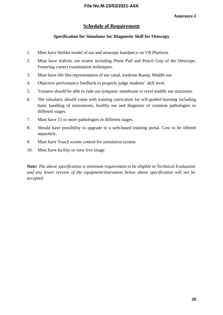# **Schedule of Requirement**

#### **Specification for Simulator for Diagnostic Skill for Otoscopy**

- 1. Must have lifelike model of ear and otoscope handpiece on VR Platform.
- 2. Must have realistic ear exams including Pinna Pull and Pencil Grip of the Otoscope, Fostering correct examination techniques.
- 3. Must have life like representation of ear canal, eardrum & amp; Middle ear.
- 4. Objective performance feedback to properly judge students' skill level.
- 5. Trainees should be able to fade out tympanic membrane to revel middle ear structures.
- 6. The simulator should come with training curriculum for self-guided learning including basic handling of instruments, healthy ear and diagnosis of common pathologies in different stages.
- 7. Must have 15 or more pathologies in different stages.
- 8. Should have possibility to upgrade to a web-based training portal. Cost to be offered separately.
- 9. Must have Touch screen control for simulation system.
- 10. Must have facility to view live image

**Note:** *The above specification is minimum requirement to be eligible in Technical Evaluation and any lower version of the equipment/instrument below above specification will not be accepted.*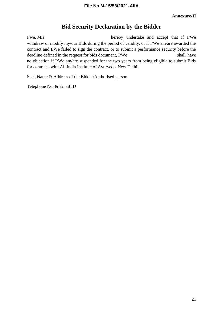# **Bid Security Declaration by the Bidder**

I/we, M/s withdraw or modify my/our Bids during the period of validity, or if I/We am/are awarded the contract and I/We failed to sign the contract, or to submit a performance security before the deadline defined in the request for bids document, I/We shall have shall have no objection if I/We am/are suspended for the two years from being eligible to submit Bids for contracts with All India Institute of Ayurveda, New Delhi.

Seal, Name & Address of the Bidder/Authorised person

Telephone No. & Email ID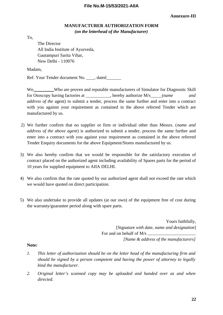#### **Annexure-III**

# **MANUFACTURER AUTHORIZATION FORM**  *(on the letterhead of the Manufacturer)*

To,

The Director All India Institute of Ayurveda, Gautampuri Sarita Vihar, New Delhi - 110076

Madam,

Ref. Your Tender document No. \_\_\_\_, dated\_\_\_\_\_\_\_

We, Who are proven and reputable manufacturers of Simulator for Diagnostic Skill for Otoscopy having factories at \_, hereby authorize M/s (*name and address of the* agent) to submit a tender, process the same further and enter into a contract with you against your requirement as contained in the above referred Tender which are manufactured by us.

- 2) We further confirm that no supplier or firm or individual other than Messrs. (*name and address of the above agent*) is authorized to submit a tender, process the same further and enter into a contract with you against your requirement as contained in the above referred Tender Enquiry documents for the above Equipment/Stores manufactured by us.
- 3) We also hereby confirm that we would be responsible for the satisfactory execution of contract placed on the authorized agent including availability of Spares parts for the period of 10 years for supplied equipment to AIIA DELHI.
- 4) We also confirm that the rate quoted by our authorized agent shall not exceed the rate which we would have quoted on direct participation.
- 5) We also undertake to provide all updates (at our own) of the equipment free of cost during the warranty/guarantee period along with spare parts.

Yours faithfully, [Signature *with date, name and designation*] For and on behalf of M/s *[Name & address of the manufacturers]*

#### **Note:**

- *1. This letter of authorization should be on the letter head of the manufacturing firm and should be signed by a person competent and having the power of attorney to legally bind the manufacturer.*
- *2. Original letter's scanned copy may be uploaded and handed over as and when directed.*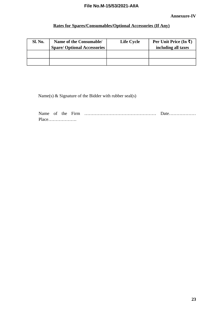# **Rates for Spares/Consumables/Optional Accessories (If Any)**

| Sl. No. | Name of the Consumable/<br><b>Spare/ Optional Accessories</b> | <b>Life Cycle</b> | Per Unit Price (In $\bar{x}$ )<br>including all taxes |
|---------|---------------------------------------------------------------|-------------------|-------------------------------------------------------|
|         |                                                               |                   |                                                       |
|         |                                                               |                   |                                                       |

Name(s) & Signature of the Bidder with rubber seal(s)

| Place |  |  |  |
|-------|--|--|--|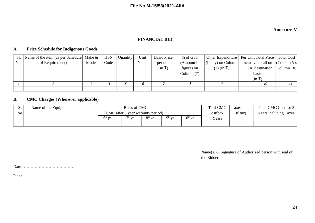#### **Annexure-V**

#### **FINANCIAL BID**

#### **A. Price Schedule for Indigenous Goods**

| Sl. | Name of the item (as per Schedule   Make & |       | <b>HSN</b> | Quantity | Unit | <b>Basic Price</b> | % of GST     |                           | Other Expenditure   Per Unit Total Price   Total Cost |  |
|-----|--------------------------------------------|-------|------------|----------|------|--------------------|--------------|---------------------------|-------------------------------------------------------|--|
| No. | of Requirement)                            | Model | Code       |          | Name | per unit           | (Amount in   | $(if \n{ any})$ on Column | inclusive of all on $\vert$ (Column 5 x $\vert$       |  |
|     |                                            |       |            |          |      | $(in \bar{t})$     | figures on   | $(7)$ (in ₹)              | F.O.R. destination Column 10)                         |  |
|     |                                            |       |            |          |      |                    | Column $(7)$ |                           | basis                                                 |  |
|     |                                            |       |            |          |      |                    |              |                           | (in ₹)                                                |  |
|     |                                            |       |            |          |      |                    |              |                           | 10                                                    |  |
|     |                                            |       |            |          |      |                    |              |                           |                                                       |  |

## **B. CMC Charges (Wherever applicable)**

| JІ. | Name of the Equipment | Rates of CMC                       |                                            |          |          | <b>Total CMC</b>    | <b>Taxes</b> | Total CMC Cost for 5  |  |
|-----|-----------------------|------------------------------------|--------------------------------------------|----------|----------|---------------------|--------------|-----------------------|--|
| No. |                       | (CMC after 5 year warranty period) |                                            |          |          | Costfor5            | (if any)     | Years including Taxes |  |
|     |                       | $6th$ vr                           | $\nabla$ <sup><math>\ln</math></sup> $\ln$ | $8th$ vr | $qth$ vr | $10^{\text{th}}$ yr | Years        |                       |  |
|     |                       |                                    |                                            |          |          |                     |              |                       |  |

Name(s) & Signature of Authorized person with seal of the Bidder

Date…………………………………

Place………………………………..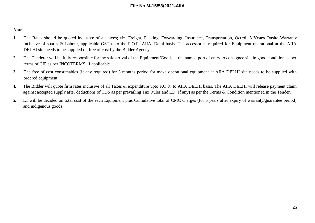#### **Note:**

- **1.** The Rates should be quoted inclusive of all taxes; viz. Freight, Packing, Forwarding, Insurance, Transportation, Octroi, **5 Years** Onsite Warranty inclusive of spares & Labour, applicable GST upto the F.O.R. AIIA, Delhi basis. The accessories required for Equipment operational at the AIIA DELHI site needs to be supplied on free of cost by the Bidder Agency
- **2.** The Tenderer will be fully responsible for the safe arrival of the Equipment/Goods at the named port of entry to consignee site in good condition as per terms of CIP as per INCOTERMS, if applicable
- **3.** The free of cost consumables (if any required) for 3 months period for make operational equipment at AIIA DELHI site needs to be supplied with ordered equipment.
- 4. The Bidder will quote firm rates inclusive of all Taxes & expenditure upto F.O.R. to AIIA DELHI basis. The AIIA DELHI will release payment claim against accepted supply after deductions of TDS as per prevailing Tax Rules and LD (If any) as per the Terms & Condition mentioned in the Tender.
- **5.** L1 will be decided on total cost of the each Equipment plus Cumulative total of CMC charges (for 5 years after expiry of warranty/guarantee period) and indigenous goods.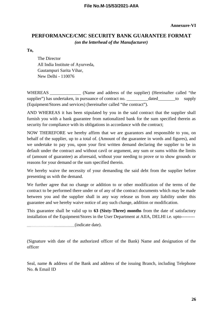# **PERFORMANCE/CMC SECURITY BANK GUARANTEE FORMAT** *(on the letterhead of the Manufacturer)*

**To,**

The Director All India Institute of Ayurveda, Gautampuri Sarita Vihar, New Delhi - 110076

WHEREAS (Name and address of the supplier) (Hereinafter called "the supplier") has undertaken, in pursuance of contract no. \_\_\_\_\_\_\_\_\_\_\_dated \_\_\_\_\_\_\_to supply (Equipment/Stores and services) (hereinafter called "the contract").

AND WHEREAS it has been stipulated by you in the said contract that the supplier shall furnish you with a bank guarantee from nationalized bank for the sum specified therein as security for compliance with its obligations in accordance with the contract;

NOW THEREFORE we hereby affirm that we are guarantors and responsible to you, on behalf of the supplier, up to a total of. (Amount of the guarantee in words and figures), and we undertake to pay you, upon your first written demand declaring the supplier to be in default under the contract and without cavil or argument, any sum or sums within the limits of (amount of guarantee) as aforesaid, without your needing to prove or to show grounds or reasons for your demand or the sum specified therein.

We hereby waive the necessity of your demanding the said debt from the supplier before presenting us with the demand.

We further agree that no change or addition to or other modification of the terms of the contract to be performed there under or of any of the contract documents which may be made between you and the supplier shall in any way release us from any liability under this guarantee and we hereby waive notice of any such change, addition or modification.

This guarantee shall be valid up to **63 (Sixty-Three) months** from the date of satisfactory installation of the Equipment/Stores in the User Department at AIIA, DELHI i.e. upto---------

(indicate date).

(Signature with date of the authorized officer of the Bank) Name and designation of the officer

Seal, name & address of the Bank and address of the issuing Branch, including Telephone No. & Email ID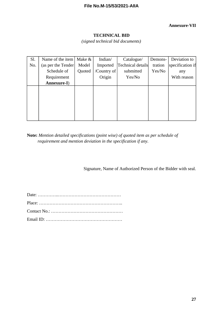## **Annexure-VII**

#### **TECHNICAL BID**

*(signed technical bid documents)*

| Sl. | Name of the item    | Make & | Indian/     | Catalogue/        | Demons- | Deviation to     |
|-----|---------------------|--------|-------------|-------------------|---------|------------------|
| No. | (as per the Tender) | Model  | Imported    | Technical details | tration | specification if |
|     | Schedule of         | Quoted | /Country of | submitted         | Yes/No  | any              |
|     | Requirement         |        | Origin      | Yes/No            |         | With reason      |
|     | Annexure-I)         |        |             |                   |         |                  |
|     |                     |        |             |                   |         |                  |
|     |                     |        |             |                   |         |                  |
|     |                     |        |             |                   |         |                  |
|     |                     |        |             |                   |         |                  |
|     |                     |        |             |                   |         |                  |
|     |                     |        |             |                   |         |                  |

**Note:** *Mention detailed specifications (point wise) of quoted item as per schedule of requirement and mention deviation in the specification if any.*

Signature, Name of Authorized Person of the Bidder with seal.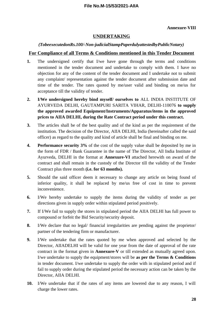#### **Annexure-VIII**

## **UNDERTAKING**

#### *(TobeexecutedonRs.100/-Non-judicialStampPaperdulyattestedbyPublicNotary)*

#### **For Compliance of all Terms & Conditions mentioned in this Tender Document**

- **1.** The undersigned certify that I/we have gone through the terms and conditions mentioned in the tender document and undertake to comply with them. I have no objection for any of the content of the tender document and I undertake not to submit any complaint/ representation against the tender document after submission date and time of the tender. The rates quoted by me/user valid and binding on me/us for acceptance till the validity of tender.
- **2. I/We undersigned hereby bind myself/ ourselves to** ALL INDIA INSTITUTE OF AYURVEDA DELHI, GAUTAMPURI SARITA VIHAR, DELHI-110076 **to supply the approved awarded Equipment/Instruments/Apparatus/items in the approved prices to AIIA DELHI, during the Rate Contract period under this contract.**
- **3.** The articles shall be of the best quality and of the kind as per the requirement of the institution. The decision of the Director, AIIA DELHI, India (hereinafter called the said officer) as regard to the quality and kind of article shall be final and binding on me.
- **4. Performance security 3%** of the cost of the supply value shall be deposited by me in the form of FDR / Bank Guarantee in the name of The Director, All India Institute of Ayurveda, DELHI in the format at **Annexure-VI** attached herewith on award of the contract and shall remain in the custody of the Director till the validity of the Tender Contract plus three month **(i.e. for 63 months).**
- **5.** Should the said officer deem it necessary to change any article on being found of inferior quality, it shall be replaced by me/us free of cost in time to prevent inconvenience.
- **6.** I/We hereby undertake to supply the items during the validity of tender as per directions given in supply order within stipulated period positively.
- **7.** If I/We fail to supply the stores in stipulated period the AIIA DELHI has full power to compound or forfeit the Bid Security/security deposit.
- **8.** I/We declare that no legal/ financial irregularities are pending against the proprietor/ partner of the tendering firm or manufacturer.
- **9.** I/We undertake that the rates quoted by me when approved and selected by the Director, AIIADELHI will be valid for one year from the date of approval of the rate contract in the format given in **Annexure-V** or till extended as mutually agreed upon. I/we undertake to supply the equipment/stores will be **as per the Terms & Conditions** in tender document. I/we undertake to supply the order with in stipulated period and if fail to supply order during the stipulated period the necessary action can be taken by the Director, AIIA DELHI.
- **10.** I/We undertake that if the rates of any items are lowered due to any reason, I will charge the lower rates.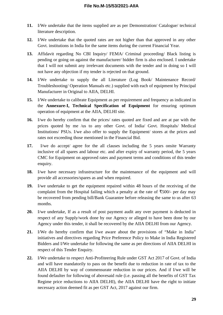- **11.** I/We undertake that the items supplied are as per Demonstration/ Catalogue/ technical literature description.
- **12.** I/We undertake that the quoted rates are not higher than that approved in any other Govt. institutions in India for the same items during the current Financial Year.
- **13.** Affidavit regarding No CBI Inquiry/ FEMA/ Criminal proceeding/ Black listing is pending or going on against the manufacturer/ bidder firm is also enclosed. I undertake that I will not submit any irrelevant documents with the tender and in doing so I will not have any objection if my tender is rejected on that ground.
- **14.** I/We undertake to supply the all Literature (Log Book/ Maintenance Record/ Troubleshooting/ Operation Manuals etc.) supplied with each of equipment by Principal Manufacturer in Original to AIIA, DELHI.
- **15.** I/We undertake to calibrate Equipment as per requirement and frequency as indicated in the **Annexure-I, Technical Specification of Equipment** for ensuring optimum operation of equipment at the AIIA, DELHI site.
- **16.** I/we do hereby confirm that the prices/ rates quoted are fixed and are at par with the prices quoted by me /us to any other Govt. of India/ Govt. Hospitals/ Medical Institutions/ PSUs. I/we also offer to supply the Equipment/ stores at the prices and rates not exceeding those mentioned in the Financial Bid.
- **17.** I/we do accept/ agree for the all clauses including the 5 years onsite Warranty inclusive of all spares and labour etc. and after expiry of warranty period, the 5 years CMC for Equipment on approved rates and payment terms and conditions of this tender enquiry.
- **18.** I/we have necessary infrastructure for the maintenance of the equipment and will provide all accessories/spares as and when required.
- **19.** I/we undertake to get the equipment repaired within 48 hours of the receiving of the complaint from the Hospital failing which a penalty at the rate of  $\overline{\text{F}}$ 500/- per day may be recovered from pending bill/Bank Guarantee before releasing the same to us after 63 months.
- **20.** I/we undertake, If as a result of post payment audit any over payment is deducted in respect of any Supply/work done by our Agency or alleged to have been done by our Agency under this tender, it shall be recovered by the AIIA DELHI from our Agency.
- **21.** I/We do hereby confirm that I/we aware about the provisions of "Make in India" initiatives and directives regarding Price Preference Policy to Make in India Registered Bidders and I/We undertake for following the same as per directions of AIIA DELHI in respect of this Tender Enquiry.
- **22.** I/We undertake to respect Anti-Profiteering Rule under GST Act 2017 of Govt. of India and will have mandatorily to pass on the benefit due to reduction in rate of tax to the AIIA DELHI by way of commensurate reduction in our prices. And if I/we will be found defaulter for following of abovesaid rule (i.e. passing all the benefits of GST Tax Regime price reductions to AIIA DELHI), the AIIA DELHI have the right to initiate necessary action deemed fit as per GST Act, 2017 against our firm.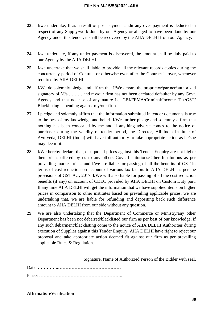- **23.** I/we undertake, If as a result of post payment audit any over payment is deducted in respect of any Supply/work done by our Agency or alleged to have been done by our Agency under this tender, it shall be recovered by the AIIA DELHI from our Agency.
- **24.** I/we undertake, If any under payment is discovered, the amount shall be duly paid to our Agency by the AIIA DELHI.
- **25.** I/we undertake that we shall liable to provide all the relevant records copies during the concurrency period of Contract or otherwise even after the Contract is over, whenever required by AIIA DELHI.
- **26.** I/We do solemnly pledge and affirm that I/We am/are the proprietor/partner/authorized signatory of M/s.......... and my/our firm has not been declared defaulter by any Govt. Agency and that no case of any nature i.e. CBI/FEMA/Criminal/Income Tax/GST/ Blacklisting is pending against my/our firm.
- **27.** I pledge and solemnly affirm that the information submitted in tender documents is true to the best of my knowledge and belief. I/We further pledge and solemnly affirm that nothing has been concealed by me and if anything adverse comes to the notice of purchaser during the validity of tender period, the Director, All India Institute of Ayurveda, DELHI (India) will have full authority to take appropriate action as he/she may deem fit.
- **28.** I/We hereby declare that, our quoted prices against this Tender Enquiry are not higher then prices offered by us to any others Govt. Institutions/Other Institutions as per prevailing market prices and I/we are liable for passing of all the benefits of GST in terms of cost reduction on account of various tax factors to AIIA DELHI as per the provisions of GST Act, 2017. I/We will also liable for passing of all the cost reduction benefits (if any) on account of CDEC provided by AIIA DELHI on Custom Duty part. If any time AIIA DELHI will get the information that we have supplied items on higher prices in comparison to other institutes based on prevailing applicable prices, we are undertaking that, we are liable for refunding and depositing back such difference amount to AIIA DELHI from our side without any question.
- **29.** We are also undertaking that the Department of Commerce or Ministry/any other Department has been not debarred/blacklisted our firm as per best of our knowledge, if any such debarment/blacklisting come to the notice of AIIA DELHI Authorities during execution of Supplies against this Tender Enquiry, AIIA DELHI have right to reject our proposal and take appropriate action deemed fit against our firm as per prevailing applicable Rules & Regulations.

Signature, Name of Authorized Person of the Bidder with seal.

Date: …………..……………………………………

Place: ………………………………………………..